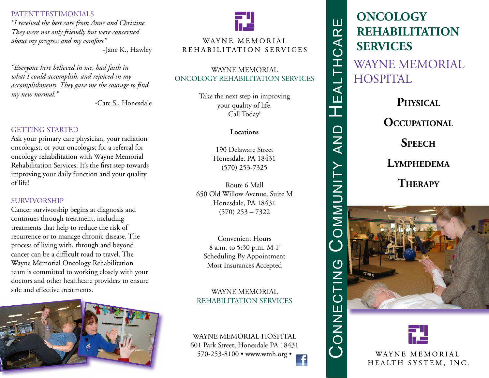PATENT TESTIMONIALS

*"I received the best care from Anne and Christine. They were not only friendly but were concerned about my progress and my comfort"* -Jane K., Hawley

*"Everyone here believed in me, had faith in what I could accomplish, and rejoiced in my accomplishments. They gave me the courage to find my new normal."* 

-Cate S., Honesdale

## GETTING STARTED

Ask your primary care physician, your radiation oncologist, or your oncologist for a referral for oncology rehabilitation with Wayne Memorial Rehabilitation Services. It's the first step towards improving your daily function and your quality of life!

## SURVIVORSHIP

Cancer survivorship begins at diagnosis and continues through treatment, including treatments that help to reduce the risk of recurrence or to manage chronic disease. The process of living with, through and beyond cancer can be a difficult road to travel. The Wayne Memorial Oncology Rehabilitation team is committed to working closely with your doctors and other healthcare providers to ensure safe and effective treatments.





## WAYNE MEMORIAL REHABILITATION SERVICES

## WAYNE MEMORIAL ONCOLOGY REHABILITATION SERVICES

Take the next step in improving your quality of life. Call Today!

#### **Locations**

190 Delaware Street Honesdale, PA 18431 (570) 253-7325

Route 6 Mall 650 Old Willow Avenue, Suite M Honesdale, PA 18431 (570) 253 – 7322

Convenient Hours 8 a.m. to 5:30 p.m. M-F Scheduling By Appointment Most Insurances Accepted

## WAYNE MEMORIAL REHABILITATION SERVICES

WAYNE MEMORIAL HOSPITAL 601 Park Street, Honesdale PA 18431 VAYNE MEMORIAL HOSPITAL<br>
11 Park Street, Honesdale PA 18431<br>
570-253-8100 • www.wmh.org •



Ш  $\alpha$ 

HEALTHCA

**AND** 





WAYNE MEMORIAL HEALTH SYSTEM, INC.